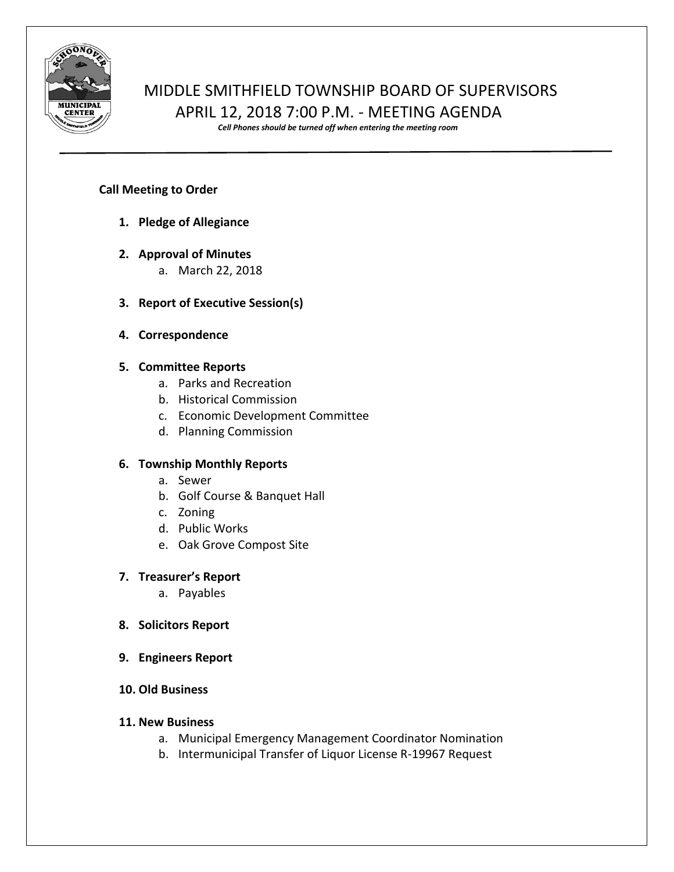

# MIDDLE SMITHFIELD TOWNSHIP BOARD OF SUPERVISORS APRIL 12, 2018 7:00 P.M. - MEETING AGENDA

*Cell Phones should be turned off when entering the meeting room*

#### **Call Meeting to Order**

- **1. Pledge of Allegiance**
- **2. Approval of Minutes**
	- a. March 22, 2018
- **3. Report of Executive Session(s)**
- **4. Correspondence**

#### **5. Committee Reports**

- a. Parks and Recreation
- b. Historical Commission
- c. Economic Development Committee
- d. Planning Commission

## **6. Township Monthly Reports**

- a. Sewer
- b. Golf Course & Banquet Hall
- c. Zoning
- d. Public Works
- e. Oak Grove Compost Site

## **7. Treasurer's Report**

a. Payables

- **8. Solicitors Report**
- **9. Engineers Report**
- **10. Old Business**

## **11. New Business**

- a. Municipal Emergency Management Coordinator Nomination
- b. Intermunicipal Transfer of Liquor License R-19967 Request